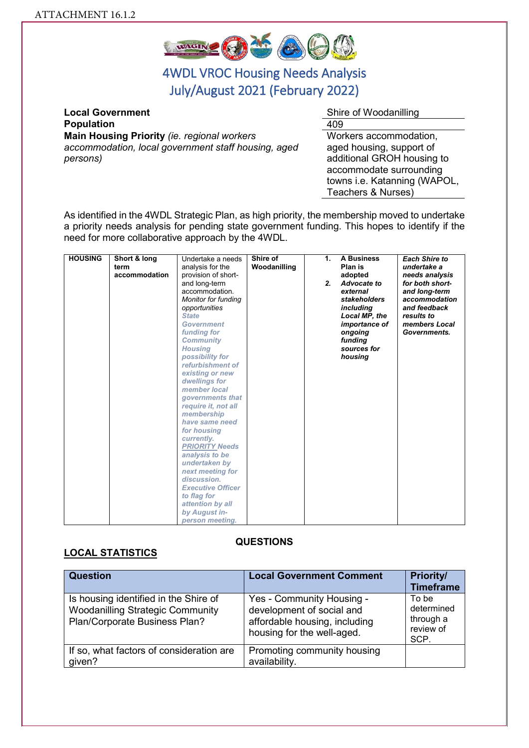

# 4WDL VROC Housing Needs Analysis July/August 2021 (February 2022)

**Local Government Shire of Woodanilling Population 1009 Main Housing Priority** *(ie. regional workers accommodation, local government staff housing, aged persons)* 

Workers accommodation, aged housing, support of additional GROH housing to accommodate surrounding towns i.e. Katanning (WAPOL, Teachers & Nurses)

As identified in the 4WDL Strategic Plan, as high priority, the membership moved to undertake a priority needs analysis for pending state government funding. This hopes to identify if the need for more collaborative approach by the 4WDL.

| <b>HOUSING</b> | Short & long  | Undertake a needs        | Shire of     | 1. | <b>A Business</b> | <b>Each Shire to</b> |
|----------------|---------------|--------------------------|--------------|----|-------------------|----------------------|
|                | term          | analysis for the         | Woodanilling |    | Plan is           | undertake a          |
|                | accommodation | provision of short-      |              |    | adopted           | needs analysis       |
|                |               | and long-term            |              | 2. | Advocate to       | for both short-      |
|                |               | accommodation.           |              |    | external          | and long-term        |
|                |               | Monitor for funding      |              |    | stakeholders      | accommodation        |
|                |               | opportunities            |              |    | including         | and feedback         |
|                |               | <b>State</b>             |              |    | Local MP, the     | results to           |
|                |               | <b>Government</b>        |              |    | importance of     | members Local        |
|                |               | funding for              |              |    | ongoing           | Governments.         |
|                |               | <b>Community</b>         |              |    | funding           |                      |
|                |               | <b>Housing</b>           |              |    | sources for       |                      |
|                |               | possibility for          |              |    | housing           |                      |
|                |               | refurbishment of         |              |    |                   |                      |
|                |               | existing or new          |              |    |                   |                      |
|                |               | dwellings for            |              |    |                   |                      |
|                |               | member local             |              |    |                   |                      |
|                |               | governments that         |              |    |                   |                      |
|                |               | require it, not all      |              |    |                   |                      |
|                |               | membership               |              |    |                   |                      |
|                |               | have same need           |              |    |                   |                      |
|                |               | for housing              |              |    |                   |                      |
|                |               | currently.               |              |    |                   |                      |
|                |               | <b>PRIORITY Needs</b>    |              |    |                   |                      |
|                |               | analysis to be           |              |    |                   |                      |
|                |               | undertaken by            |              |    |                   |                      |
|                |               | next meeting for         |              |    |                   |                      |
|                |               | discussion.              |              |    |                   |                      |
|                |               | <b>Executive Officer</b> |              |    |                   |                      |
|                |               | to flag for              |              |    |                   |                      |
|                |               | attention by all         |              |    |                   |                      |
|                |               | by August in-            |              |    |                   |                      |
|                |               | person meeting.          |              |    |                   |                      |

#### **QUESTIONS**

#### **LOCAL STATISTICS**

| <b>Question</b>                                                                                                   | <b>Local Government Comment</b>                                                                                       | <b>Priority/</b><br><b>Timeframe</b>                  |
|-------------------------------------------------------------------------------------------------------------------|-----------------------------------------------------------------------------------------------------------------------|-------------------------------------------------------|
| Is housing identified in the Shire of<br><b>Woodanilling Strategic Community</b><br>Plan/Corporate Business Plan? | Yes - Community Housing -<br>development of social and<br>affordable housing, including<br>housing for the well-aged. | To be<br>determined<br>through a<br>review of<br>SCP. |
| If so, what factors of consideration are<br>given?                                                                | Promoting community housing<br>availability.                                                                          |                                                       |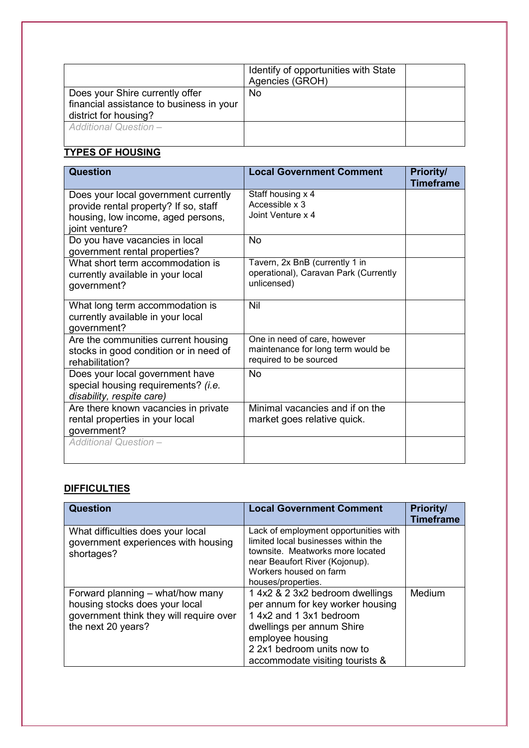|                                                                                                      | Identify of opportunities with State<br>Agencies (GROH) |  |
|------------------------------------------------------------------------------------------------------|---------------------------------------------------------|--|
| Does your Shire currently offer<br>financial assistance to business in your<br>district for housing? | No.                                                     |  |
| <b>Additional Question-</b>                                                                          |                                                         |  |

# **TYPES OF HOUSING**

| <b>Question</b>                                                                                                                       | <b>Local Government Comment</b>                                                              | <b>Priority/</b><br><b>Timeframe</b> |
|---------------------------------------------------------------------------------------------------------------------------------------|----------------------------------------------------------------------------------------------|--------------------------------------|
| Does your local government currently<br>provide rental property? If so, staff<br>housing, low income, aged persons,<br>joint venture? | Staff housing x 4<br>Accessible x 3<br>Joint Venture x 4                                     |                                      |
| Do you have vacancies in local<br>government rental properties?                                                                       | <b>No</b>                                                                                    |                                      |
| What short term accommodation is<br>currently available in your local<br>government?                                                  | Tavern, 2x BnB (currently 1 in<br>operational), Caravan Park (Currently<br>unlicensed)       |                                      |
| What long term accommodation is<br>currently available in your local<br>government?                                                   | Nil                                                                                          |                                      |
| Are the communities current housing<br>stocks in good condition or in need of<br>rehabilitation?                                      | One in need of care, however<br>maintenance for long term would be<br>required to be sourced |                                      |
| Does your local government have<br>special housing requirements? (i.e.<br>disability, respite care)                                   | No                                                                                           |                                      |
| Are there known vacancies in private<br>rental properties in your local<br>government?                                                | Minimal vacancies and if on the<br>market goes relative quick.                               |                                      |
| <b>Additional Question -</b>                                                                                                          |                                                                                              |                                      |

## **DIFFICULTIES**

| <b>Question</b>                                                                                                                     | <b>Local Government Comment</b>                                                                                                                                                                                  | <b>Priority/</b><br><b>Timeframe</b> |
|-------------------------------------------------------------------------------------------------------------------------------------|------------------------------------------------------------------------------------------------------------------------------------------------------------------------------------------------------------------|--------------------------------------|
| What difficulties does your local<br>government experiences with housing<br>shortages?                                              | Lack of employment opportunities with<br>limited local businesses within the<br>townsite. Meatworks more located<br>near Beaufort River (Kojonup).<br>Workers housed on farm<br>houses/properties.               |                                      |
| Forward planning – what/how many<br>housing stocks does your local<br>government think they will require over<br>the next 20 years? | 1 4x2 & 2 3x2 bedroom dwellings<br>per annum for key worker housing<br>1 4x2 and 1 3x1 bedroom<br>dwellings per annum Shire<br>employee housing<br>2 2x1 bedroom units now to<br>accommodate visiting tourists & | Medium                               |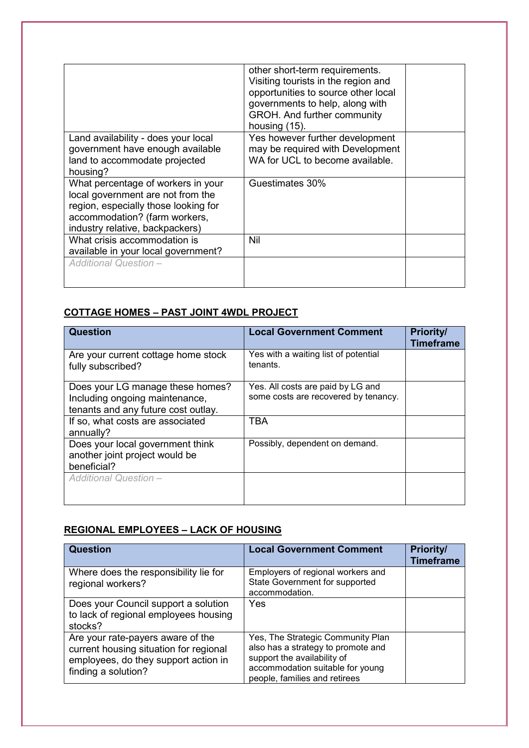|                                                                                                                                                  | other short-term requirements.<br>Visiting tourists in the region and<br>opportunities to source other local<br>governments to help, along with<br>GROH. And further community<br>housing (15). |  |
|--------------------------------------------------------------------------------------------------------------------------------------------------|-------------------------------------------------------------------------------------------------------------------------------------------------------------------------------------------------|--|
| Land availability - does your local                                                                                                              | Yes however further development                                                                                                                                                                 |  |
| government have enough available                                                                                                                 | may be required with Development                                                                                                                                                                |  |
| land to accommodate projected                                                                                                                    | WA for UCL to become available.                                                                                                                                                                 |  |
| housing?                                                                                                                                         |                                                                                                                                                                                                 |  |
| What percentage of workers in your<br>local government are not from the<br>region, especially those looking for<br>accommodation? (farm workers, | Guestimates 30%                                                                                                                                                                                 |  |
| industry relative, backpackers)                                                                                                                  |                                                                                                                                                                                                 |  |
| What crisis accommodation is<br>available in your local government?                                                                              | Nil                                                                                                                                                                                             |  |
| <b>Additional Question-</b>                                                                                                                      |                                                                                                                                                                                                 |  |

## **COTTAGE HOMES – PAST JOINT 4WDL PROJECT**

| <b>Question</b>                                                                                           | <b>Local Government Comment</b>                                           | <b>Priority/</b><br><b>Timeframe</b> |
|-----------------------------------------------------------------------------------------------------------|---------------------------------------------------------------------------|--------------------------------------|
| Are your current cottage home stock<br>fully subscribed?                                                  | Yes with a waiting list of potential<br>tenants.                          |                                      |
| Does your LG manage these homes?<br>Including ongoing maintenance,<br>tenants and any future cost outlay. | Yes. All costs are paid by LG and<br>some costs are recovered by tenancy. |                                      |
| If so, what costs are associated<br>annually?                                                             | <b>TBA</b>                                                                |                                      |
| Does your local government think<br>another joint project would be<br>beneficial?                         | Possibly, dependent on demand.                                            |                                      |
| <b>Additional Question -</b>                                                                              |                                                                           |                                      |

## **REGIONAL EMPLOYEES – LACK OF HOUSING**

| <b>Question</b>                                                                                                                            | <b>Local Government Comment</b>                                                                                                                                             | <b>Priority/</b><br><b>Timeframe</b> |
|--------------------------------------------------------------------------------------------------------------------------------------------|-----------------------------------------------------------------------------------------------------------------------------------------------------------------------------|--------------------------------------|
| Where does the responsibility lie for<br>regional workers?                                                                                 | Employers of regional workers and<br>State Government for supported<br>accommodation.                                                                                       |                                      |
| Does your Council support a solution<br>to lack of regional employees housing<br>stocks?                                                   | Yes                                                                                                                                                                         |                                      |
| Are your rate-payers aware of the<br>current housing situation for regional<br>employees, do they support action in<br>finding a solution? | Yes, The Strategic Community Plan<br>also has a strategy to promote and<br>support the availability of<br>accommodation suitable for young<br>people, families and retirees |                                      |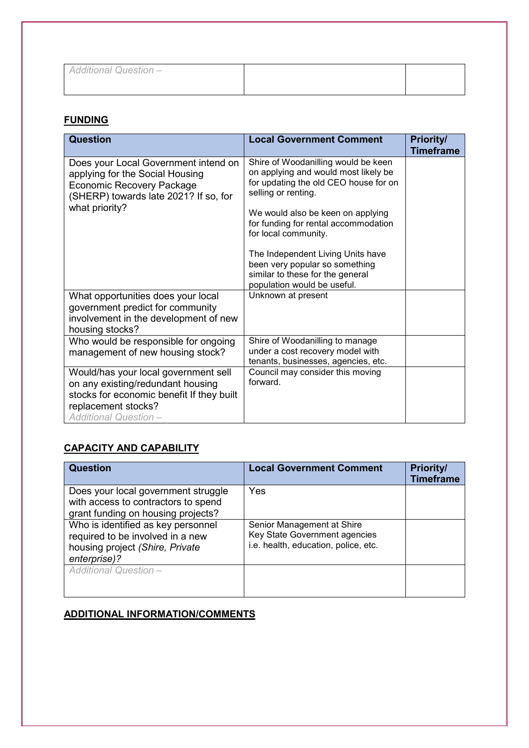| <b>Additional Question -</b> |  |
|------------------------------|--|
|                              |  |

## **FUNDING**

| <b>Question</b>                                                                                                                                                               | <b>Local Government Comment</b>                                                                                                                                                                                                                                                                                                                                                            | Priority/<br><b>Timeframe</b> |
|-------------------------------------------------------------------------------------------------------------------------------------------------------------------------------|--------------------------------------------------------------------------------------------------------------------------------------------------------------------------------------------------------------------------------------------------------------------------------------------------------------------------------------------------------------------------------------------|-------------------------------|
| Does your Local Government intend on<br>applying for the Social Housing<br><b>Economic Recovery Package</b><br>(SHERP) towards late 2021? If so, for<br>what priority?        | Shire of Woodanilling would be keen<br>on applying and would most likely be<br>for updating the old CEO house for on<br>selling or renting.<br>We would also be keen on applying<br>for funding for rental accommodation<br>for local community.<br>The Independent Living Units have<br>been very popular so something<br>similar to these for the general<br>population would be useful. |                               |
| What opportunities does your local<br>government predict for community<br>involvement in the development of new<br>housing stocks?                                            | Unknown at present                                                                                                                                                                                                                                                                                                                                                                         |                               |
| Who would be responsible for ongoing<br>management of new housing stock?                                                                                                      | Shire of Woodanilling to manage<br>under a cost recovery model with<br>tenants, businesses, agencies, etc.                                                                                                                                                                                                                                                                                 |                               |
| Would/has your local government sell<br>on any existing/redundant housing<br>stocks for economic benefit If they built<br>replacement stocks?<br><b>Additional Question -</b> | Council may consider this moving<br>forward.                                                                                                                                                                                                                                                                                                                                               |                               |

## **CAPACITY AND CAPABILITY**

| <b>Question</b>                                                                                                           | <b>Local Government Comment</b>                                                                     | <b>Priority/</b><br><b>Timeframe</b> |
|---------------------------------------------------------------------------------------------------------------------------|-----------------------------------------------------------------------------------------------------|--------------------------------------|
| Does your local government struggle<br>with access to contractors to spend<br>grant funding on housing projects?          | Yes                                                                                                 |                                      |
| Who is identified as key personnel<br>required to be involved in a new<br>housing project (Shire, Private<br>enterprise)? | Senior Management at Shire<br>Key State Government agencies<br>i.e. health, education, police, etc. |                                      |
| <b>Additional Question-</b>                                                                                               |                                                                                                     |                                      |

#### **ADDITIONAL INFORMATION/COMMENTS**